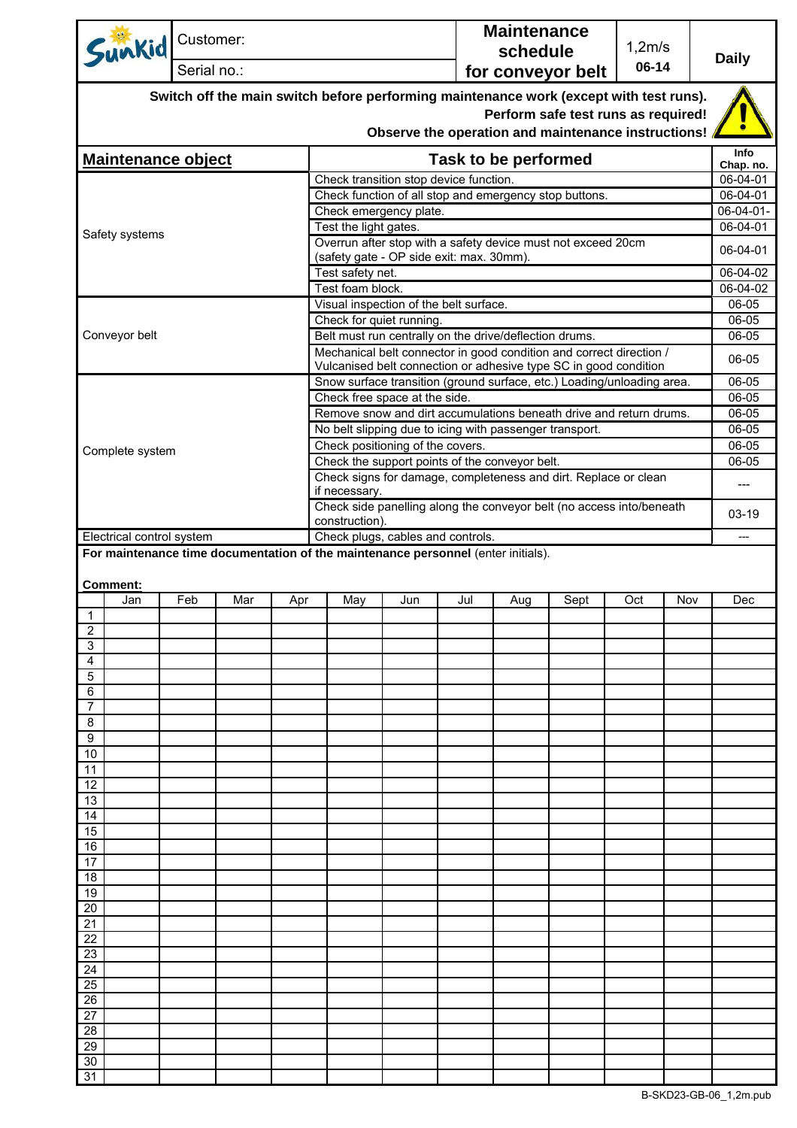| Sunkid                                         | Customer:                                                                                                                                           |     |                                                        |                                                                       |  |                                                                                        | <b>Maintenance</b><br>schedule         |                                                         | 1,2m/s                                                                                                                                                                               |       | <b>Daily</b> |                       |
|------------------------------------------------|-----------------------------------------------------------------------------------------------------------------------------------------------------|-----|--------------------------------------------------------|-----------------------------------------------------------------------|--|----------------------------------------------------------------------------------------|----------------------------------------|---------------------------------------------------------|--------------------------------------------------------------------------------------------------------------------------------------------------------------------------------------|-------|--------------|-----------------------|
|                                                | Serial no.:                                                                                                                                         |     |                                                        |                                                                       |  |                                                                                        |                                        |                                                         | for conveyor belt                                                                                                                                                                    | 06-14 |              |                       |
|                                                |                                                                                                                                                     |     |                                                        |                                                                       |  |                                                                                        |                                        |                                                         | Switch off the main switch before performing maintenance work (except with test runs).<br>Perform safe test runs as required!<br>Observe the operation and maintenance instructions! |       |              |                       |
|                                                |                                                                                                                                                     |     |                                                        |                                                                       |  |                                                                                        |                                        |                                                         |                                                                                                                                                                                      |       |              | Info                  |
| Maintenance object                             |                                                                                                                                                     |     |                                                        | <b>Task to be performed</b><br>Check transition stop device function. |  |                                                                                        |                                        |                                                         |                                                                                                                                                                                      |       |              | Chap. no.<br>06-04-01 |
|                                                |                                                                                                                                                     |     | Check function of all stop and emergency stop buttons. |                                                                       |  |                                                                                        |                                        |                                                         |                                                                                                                                                                                      |       | 06-04-01     |                       |
|                                                | Check emergency plate.                                                                                                                              |     |                                                        |                                                                       |  |                                                                                        |                                        |                                                         | $06-04-01-$                                                                                                                                                                          |       |              |                       |
| Safety systems                                 | Test the light gates.                                                                                                                               |     |                                                        |                                                                       |  |                                                                                        |                                        |                                                         | 06-04-01                                                                                                                                                                             |       |              |                       |
|                                                |                                                                                                                                                     |     |                                                        | (safety gate - OP side exit: max. 30mm).                              |  | Overrun after stop with a safety device must not exceed 20cm                           |                                        |                                                         | 06-04-01                                                                                                                                                                             |       |              |                       |
|                                                |                                                                                                                                                     |     |                                                        | Test safety net.                                                      |  |                                                                                        |                                        |                                                         |                                                                                                                                                                                      |       |              | 06-04-02              |
|                                                |                                                                                                                                                     |     |                                                        | Test foam block.                                                      |  |                                                                                        |                                        |                                                         |                                                                                                                                                                                      |       |              | 06-04-02              |
|                                                |                                                                                                                                                     |     |                                                        |                                                                       |  |                                                                                        | Visual inspection of the belt surface. |                                                         |                                                                                                                                                                                      |       |              | 06-05                 |
| Conveyor belt                                  |                                                                                                                                                     |     |                                                        |                                                                       |  | Check for quiet running.                                                               |                                        | Belt must run centrally on the drive/deflection drums.  |                                                                                                                                                                                      |       |              | 06-05<br>06-05        |
|                                                |                                                                                                                                                     |     |                                                        |                                                                       |  |                                                                                        |                                        |                                                         | Mechanical belt connector in good condition and correct direction /                                                                                                                  |       |              |                       |
|                                                |                                                                                                                                                     |     |                                                        |                                                                       |  |                                                                                        |                                        |                                                         | Vulcanised belt connection or adhesive type SC in good condition                                                                                                                     |       |              | 06-05                 |
|                                                |                                                                                                                                                     |     |                                                        |                                                                       |  |                                                                                        |                                        |                                                         | Snow surface transition (ground surface, etc.) Loading/unloading area.                                                                                                               |       |              | 06-05                 |
|                                                |                                                                                                                                                     |     |                                                        |                                                                       |  | Check free space at the side.                                                          |                                        |                                                         | Remove snow and dirt accumulations beneath drive and return drums.                                                                                                                   |       |              | 06-05<br>06-05        |
|                                                |                                                                                                                                                     |     |                                                        |                                                                       |  |                                                                                        |                                        | No belt slipping due to icing with passenger transport. |                                                                                                                                                                                      |       |              | 06-05                 |
| Complete system                                |                                                                                                                                                     |     |                                                        |                                                                       |  | Check positioning of the covers.                                                       |                                        |                                                         |                                                                                                                                                                                      |       |              | 06-05                 |
| Check the support points of the conveyor belt. |                                                                                                                                                     |     |                                                        |                                                                       |  |                                                                                        | 06-05                                  |                                                         |                                                                                                                                                                                      |       |              |                       |
|                                                | Check signs for damage, completeness and dirt. Replace or clean<br>if necessary.                                                                    |     |                                                        |                                                                       |  |                                                                                        |                                        | ---                                                     |                                                                                                                                                                                      |       |              |                       |
|                                                |                                                                                                                                                     |     |                                                        |                                                                       |  | Check side panelling along the conveyor belt (no access into/beneath<br>construction). |                                        |                                                         |                                                                                                                                                                                      |       |              | 03-19                 |
|                                                | Check plugs, cables and controls.<br>Electrical control system<br>For maintenance time documentation of the maintenance personnel (enter initials). |     |                                                        |                                                                       |  |                                                                                        |                                        |                                                         |                                                                                                                                                                                      |       |              |                       |
| <b>Comment:</b>                                |                                                                                                                                                     |     |                                                        |                                                                       |  |                                                                                        |                                        |                                                         |                                                                                                                                                                                      |       |              |                       |
| Jan                                            | Feb                                                                                                                                                 | Mar | Apr                                                    | May                                                                   |  | Jun                                                                                    | Jul                                    | Aug                                                     | Sept                                                                                                                                                                                 | Oct   | Nov          | Dec                   |
| $\mathbf{1}$<br>2                              |                                                                                                                                                     |     |                                                        |                                                                       |  |                                                                                        |                                        |                                                         |                                                                                                                                                                                      |       |              |                       |
| 3                                              |                                                                                                                                                     |     |                                                        |                                                                       |  |                                                                                        |                                        |                                                         |                                                                                                                                                                                      |       |              |                       |
| 4                                              |                                                                                                                                                     |     |                                                        |                                                                       |  |                                                                                        |                                        |                                                         |                                                                                                                                                                                      |       |              |                       |
| 5                                              |                                                                                                                                                     |     |                                                        |                                                                       |  |                                                                                        |                                        |                                                         |                                                                                                                                                                                      |       |              |                       |
| 6<br>7                                         |                                                                                                                                                     |     |                                                        |                                                                       |  |                                                                                        |                                        |                                                         |                                                                                                                                                                                      |       |              |                       |
| 8                                              |                                                                                                                                                     |     |                                                        |                                                                       |  |                                                                                        |                                        |                                                         |                                                                                                                                                                                      |       |              |                       |
| 9                                              |                                                                                                                                                     |     |                                                        |                                                                       |  |                                                                                        |                                        |                                                         |                                                                                                                                                                                      |       |              |                       |
| 10                                             |                                                                                                                                                     |     |                                                        |                                                                       |  |                                                                                        |                                        |                                                         |                                                                                                                                                                                      |       |              |                       |
| 11<br>12                                       |                                                                                                                                                     |     |                                                        |                                                                       |  |                                                                                        |                                        |                                                         |                                                                                                                                                                                      |       |              |                       |
| 13                                             |                                                                                                                                                     |     |                                                        |                                                                       |  |                                                                                        |                                        |                                                         |                                                                                                                                                                                      |       |              |                       |
| 14                                             |                                                                                                                                                     |     |                                                        |                                                                       |  |                                                                                        |                                        |                                                         |                                                                                                                                                                                      |       |              |                       |
| 15<br>16                                       |                                                                                                                                                     |     |                                                        |                                                                       |  |                                                                                        |                                        |                                                         |                                                                                                                                                                                      |       |              |                       |
| 17                                             |                                                                                                                                                     |     |                                                        |                                                                       |  |                                                                                        |                                        |                                                         |                                                                                                                                                                                      |       |              |                       |
| 18                                             |                                                                                                                                                     |     |                                                        |                                                                       |  |                                                                                        |                                        |                                                         |                                                                                                                                                                                      |       |              |                       |
| 19                                             |                                                                                                                                                     |     |                                                        |                                                                       |  |                                                                                        |                                        |                                                         |                                                                                                                                                                                      |       |              |                       |
| 20<br>21                                       |                                                                                                                                                     |     |                                                        |                                                                       |  |                                                                                        |                                        |                                                         |                                                                                                                                                                                      |       |              |                       |
| 22                                             |                                                                                                                                                     |     |                                                        |                                                                       |  |                                                                                        |                                        |                                                         |                                                                                                                                                                                      |       |              |                       |
| 23                                             |                                                                                                                                                     |     |                                                        |                                                                       |  |                                                                                        |                                        |                                                         |                                                                                                                                                                                      |       |              |                       |
| 24                                             |                                                                                                                                                     |     |                                                        |                                                                       |  |                                                                                        |                                        |                                                         |                                                                                                                                                                                      |       |              |                       |
| 25<br>26                                       |                                                                                                                                                     |     |                                                        |                                                                       |  |                                                                                        |                                        |                                                         |                                                                                                                                                                                      |       |              |                       |
| 27                                             |                                                                                                                                                     |     |                                                        |                                                                       |  |                                                                                        |                                        |                                                         |                                                                                                                                                                                      |       |              |                       |
| 28                                             |                                                                                                                                                     |     |                                                        |                                                                       |  |                                                                                        |                                        |                                                         |                                                                                                                                                                                      |       |              |                       |
| 29                                             |                                                                                                                                                     |     |                                                        |                                                                       |  |                                                                                        |                                        |                                                         |                                                                                                                                                                                      |       |              |                       |
| 30<br>31                                       |                                                                                                                                                     |     |                                                        |                                                                       |  |                                                                                        |                                        |                                                         |                                                                                                                                                                                      |       |              |                       |
|                                                |                                                                                                                                                     |     |                                                        |                                                                       |  |                                                                                        |                                        |                                                         |                                                                                                                                                                                      |       |              |                       |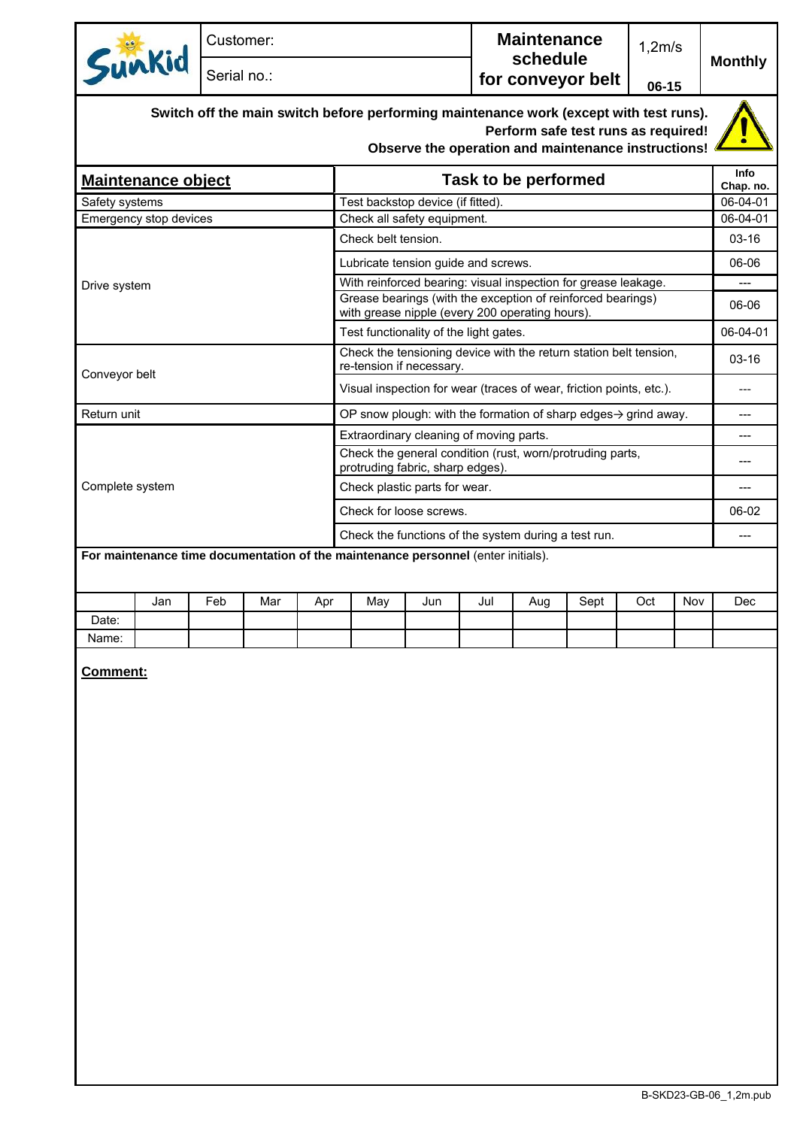|                                                                                                                                                                                      | Customer:                                            |                                                                                               |     |                                                                                                                |     |                   | <b>Maintenance</b><br>schedule |       | 1,2m/s            |          |                |  |
|--------------------------------------------------------------------------------------------------------------------------------------------------------------------------------------|------------------------------------------------------|-----------------------------------------------------------------------------------------------|-----|----------------------------------------------------------------------------------------------------------------|-----|-------------------|--------------------------------|-------|-------------------|----------|----------------|--|
| Sunkid                                                                                                                                                                               | Serial no.:                                          |                                                                                               |     |                                                                                                                |     | for conveyor belt |                                |       | 06-15             |          | <b>Monthly</b> |  |
| Switch off the main switch before performing maintenance work (except with test runs).<br>Perform safe test runs as required!<br>Observe the operation and maintenance instructions! |                                                      |                                                                                               |     |                                                                                                                |     |                   |                                |       |                   |          |                |  |
| <b>Maintenance object</b>                                                                                                                                                            |                                                      | Task to be performed                                                                          |     |                                                                                                                |     |                   |                                |       | Info<br>Chap. no. |          |                |  |
| Safety systems                                                                                                                                                                       |                                                      |                                                                                               |     | Test backstop device (if fitted).                                                                              |     |                   |                                |       |                   |          | 06-04-01       |  |
| Emergency stop devices                                                                                                                                                               |                                                      |                                                                                               |     | Check all safety equipment.                                                                                    |     |                   |                                |       |                   |          | 06-04-01       |  |
|                                                                                                                                                                                      |                                                      |                                                                                               |     | Check belt tension.                                                                                            |     |                   |                                |       |                   |          | $03-16$        |  |
|                                                                                                                                                                                      |                                                      |                                                                                               |     | Lubricate tension guide and screws.                                                                            |     |                   |                                |       |                   | 06-06    |                |  |
| Drive system                                                                                                                                                                         |                                                      |                                                                                               |     | With reinforced bearing: visual inspection for grease leakage.                                                 |     |                   |                                |       |                   |          |                |  |
|                                                                                                                                                                                      |                                                      |                                                                                               |     | Grease bearings (with the exception of reinforced bearings)<br>with grease nipple (every 200 operating hours). |     |                   |                                |       |                   | 06-06    |                |  |
|                                                                                                                                                                                      |                                                      |                                                                                               |     | Test functionality of the light gates.                                                                         |     |                   |                                |       |                   | 06-04-01 |                |  |
| Conveyor belt                                                                                                                                                                        |                                                      |                                                                                               |     | Check the tensioning device with the return station belt tension,<br>re-tension if necessary.                  |     |                   |                                |       |                   | $03-16$  |                |  |
|                                                                                                                                                                                      |                                                      |                                                                                               |     | Visual inspection for wear (traces of wear, friction points, etc.).                                            |     |                   |                                |       |                   | $---$    |                |  |
| Return unit                                                                                                                                                                          |                                                      | OP snow plough: with the formation of sharp edges $\rightarrow$ grind away.                   |     |                                                                                                                |     |                   |                                |       | $---$             |          |                |  |
|                                                                                                                                                                                      |                                                      |                                                                                               |     | Extraordinary cleaning of moving parts.                                                                        |     |                   |                                |       |                   | ---      |                |  |
|                                                                                                                                                                                      |                                                      | Check the general condition (rust, worn/protruding parts,<br>protruding fabric, sharp edges). |     |                                                                                                                |     |                   |                                |       |                   |          |                |  |
| Complete system                                                                                                                                                                      |                                                      | Check plastic parts for wear.                                                                 |     |                                                                                                                |     |                   |                                | $---$ |                   |          |                |  |
|                                                                                                                                                                                      |                                                      | Check for loose screws.                                                                       |     |                                                                                                                |     |                   |                                | 06-02 |                   |          |                |  |
|                                                                                                                                                                                      | Check the functions of the system during a test run. |                                                                                               |     |                                                                                                                |     |                   |                                |       |                   |          |                |  |
| For maintenance time documentation of the maintenance personnel (enter initials).                                                                                                    |                                                      |                                                                                               |     |                                                                                                                |     |                   |                                |       |                   |          |                |  |
| Jan                                                                                                                                                                                  | Feb                                                  | Mar                                                                                           | Apr | May                                                                                                            | Jun | Jul               | Aug                            | Sept  | Oct               | Nov      | Dec            |  |
| Date:                                                                                                                                                                                |                                                      |                                                                                               |     |                                                                                                                |     |                   |                                |       |                   |          |                |  |
| Name:                                                                                                                                                                                |                                                      |                                                                                               |     |                                                                                                                |     |                   |                                |       |                   |          |                |  |

**Comment:**